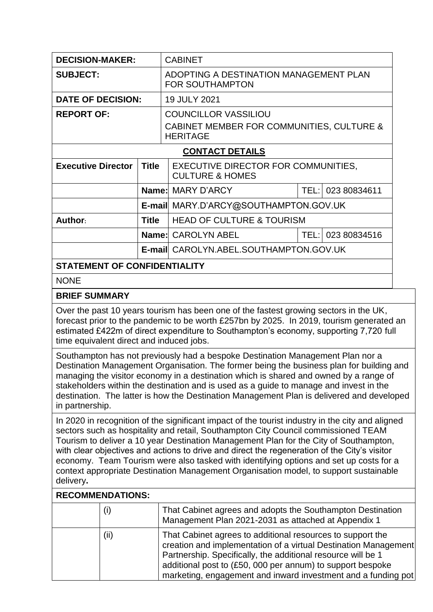| <b>DECISION-MAKER:</b><br><b>CABINET</b><br>ADOPTING A DESTINATION MANAGEMENT PLAN<br><b>SUBJECT:</b><br><b>FOR SOUTHAMPTON</b><br><b>DATE OF DECISION:</b><br>19 JULY 2021<br><b>REPORT OF:</b><br><b>COUNCILLOR VASSILIOU</b><br>CABINET MEMBER FOR COMMUNITIES, CULTURE &<br><b>HERITAGE</b><br><b>CONTACT DETAILS</b><br><b>Executive Director</b><br><b>Title</b><br>EXECUTIVE DIRECTOR FOR COMMUNITIES,<br><b>CULTURE &amp; HOMES</b><br>Name: MARY D'ARCY<br>TEL: 023 80834611<br>E-mail MARY.D'ARCY@SOUTHAMPTON.GOV.UK<br><b>HEAD OF CULTURE &amp; TOURISM</b><br>Author:<br><b>Title</b><br>Name: CAROLYN ABEL<br>TEL:I<br>023 80834516<br><b>E-mail CAROLYN, ABEL, SOUTHAMPTON, GOV, UK</b><br><b>STATEMENT OF CONFIDENTIALITY</b><br><b>NONE</b><br><b>BRIEF SUMMARY</b><br>Over the past 10 years tourism has been one of the fastest growing sectors in the UK,<br>forecast prior to the pandemic to be worth £257bn by 2025. In 2019, tourism generated an<br>estimated £422m of direct expenditure to Southampton's economy, supporting 7,720 full<br>time equivalent direct and induced jobs.<br>Southampton has not previously had a bespoke Destination Management Plan nor a<br>Destination Management Organisation. The former being the business plan for building and |  |  |  |  |  |  |
|---------------------------------------------------------------------------------------------------------------------------------------------------------------------------------------------------------------------------------------------------------------------------------------------------------------------------------------------------------------------------------------------------------------------------------------------------------------------------------------------------------------------------------------------------------------------------------------------------------------------------------------------------------------------------------------------------------------------------------------------------------------------------------------------------------------------------------------------------------------------------------------------------------------------------------------------------------------------------------------------------------------------------------------------------------------------------------------------------------------------------------------------------------------------------------------------------------------------------------------------------------------------------------------------|--|--|--|--|--|--|
|                                                                                                                                                                                                                                                                                                                                                                                                                                                                                                                                                                                                                                                                                                                                                                                                                                                                                                                                                                                                                                                                                                                                                                                                                                                                                             |  |  |  |  |  |  |
|                                                                                                                                                                                                                                                                                                                                                                                                                                                                                                                                                                                                                                                                                                                                                                                                                                                                                                                                                                                                                                                                                                                                                                                                                                                                                             |  |  |  |  |  |  |
|                                                                                                                                                                                                                                                                                                                                                                                                                                                                                                                                                                                                                                                                                                                                                                                                                                                                                                                                                                                                                                                                                                                                                                                                                                                                                             |  |  |  |  |  |  |
|                                                                                                                                                                                                                                                                                                                                                                                                                                                                                                                                                                                                                                                                                                                                                                                                                                                                                                                                                                                                                                                                                                                                                                                                                                                                                             |  |  |  |  |  |  |
|                                                                                                                                                                                                                                                                                                                                                                                                                                                                                                                                                                                                                                                                                                                                                                                                                                                                                                                                                                                                                                                                                                                                                                                                                                                                                             |  |  |  |  |  |  |
|                                                                                                                                                                                                                                                                                                                                                                                                                                                                                                                                                                                                                                                                                                                                                                                                                                                                                                                                                                                                                                                                                                                                                                                                                                                                                             |  |  |  |  |  |  |
|                                                                                                                                                                                                                                                                                                                                                                                                                                                                                                                                                                                                                                                                                                                                                                                                                                                                                                                                                                                                                                                                                                                                                                                                                                                                                             |  |  |  |  |  |  |
|                                                                                                                                                                                                                                                                                                                                                                                                                                                                                                                                                                                                                                                                                                                                                                                                                                                                                                                                                                                                                                                                                                                                                                                                                                                                                             |  |  |  |  |  |  |
|                                                                                                                                                                                                                                                                                                                                                                                                                                                                                                                                                                                                                                                                                                                                                                                                                                                                                                                                                                                                                                                                                                                                                                                                                                                                                             |  |  |  |  |  |  |
|                                                                                                                                                                                                                                                                                                                                                                                                                                                                                                                                                                                                                                                                                                                                                                                                                                                                                                                                                                                                                                                                                                                                                                                                                                                                                             |  |  |  |  |  |  |
|                                                                                                                                                                                                                                                                                                                                                                                                                                                                                                                                                                                                                                                                                                                                                                                                                                                                                                                                                                                                                                                                                                                                                                                                                                                                                             |  |  |  |  |  |  |
|                                                                                                                                                                                                                                                                                                                                                                                                                                                                                                                                                                                                                                                                                                                                                                                                                                                                                                                                                                                                                                                                                                                                                                                                                                                                                             |  |  |  |  |  |  |
|                                                                                                                                                                                                                                                                                                                                                                                                                                                                                                                                                                                                                                                                                                                                                                                                                                                                                                                                                                                                                                                                                                                                                                                                                                                                                             |  |  |  |  |  |  |
|                                                                                                                                                                                                                                                                                                                                                                                                                                                                                                                                                                                                                                                                                                                                                                                                                                                                                                                                                                                                                                                                                                                                                                                                                                                                                             |  |  |  |  |  |  |
|                                                                                                                                                                                                                                                                                                                                                                                                                                                                                                                                                                                                                                                                                                                                                                                                                                                                                                                                                                                                                                                                                                                                                                                                                                                                                             |  |  |  |  |  |  |
| managing the visitor economy in a destination which is shared and owned by a range of<br>stakeholders within the destination and is used as a guide to manage and invest in the<br>destination. The latter is how the Destination Management Plan is delivered and developed<br>in partnership.<br>In 2020 in recognition of the significant impact of the tourist industry in the city and aligned                                                                                                                                                                                                                                                                                                                                                                                                                                                                                                                                                                                                                                                                                                                                                                                                                                                                                         |  |  |  |  |  |  |

sectors such as hospitality and retail, Southampton City Council commissioned TEAM Tourism to deliver a 10 year Destination Management Plan for the City of Southampton, with clear objectives and actions to drive and direct the regeneration of the City's visitor economy. Team Tourism were also tasked with identifying options and set up costs for a context appropriate Destination Management Organisation model, to support sustainable delivery**.** 

## **RECOMMENDATIONS:**

| (i)  | That Cabinet agrees and adopts the Southampton Destination<br>Management Plan 2021-2031 as attached at Appendix 1                                                                                                                                                                                                            |
|------|------------------------------------------------------------------------------------------------------------------------------------------------------------------------------------------------------------------------------------------------------------------------------------------------------------------------------|
| (ii) | That Cabinet agrees to additional resources to support the<br>creation and implementation of a virtual Destination Management<br>Partnership. Specifically, the additional resource will be 1<br>additional post to (£50, 000 per annum) to support bespoke<br>marketing, engagement and inward investment and a funding pot |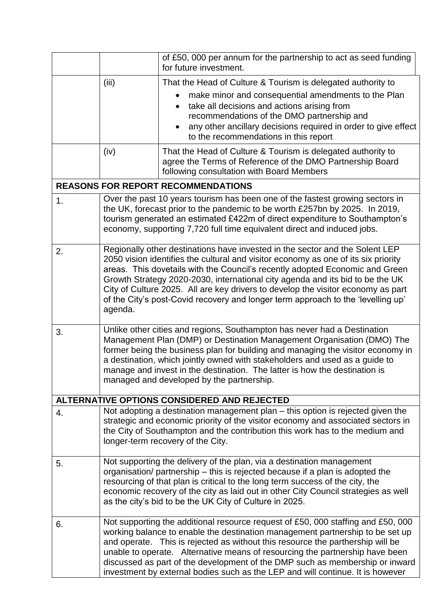|    |                                                                                                                                                                                                                                                                                                                                                                                                                                                                                                                        | of £50, 000 per annum for the partnership to act as seed funding<br>for future investment.                                                                                                                                                                                                                                                                                                                                                                                                            |  |
|----|------------------------------------------------------------------------------------------------------------------------------------------------------------------------------------------------------------------------------------------------------------------------------------------------------------------------------------------------------------------------------------------------------------------------------------------------------------------------------------------------------------------------|-------------------------------------------------------------------------------------------------------------------------------------------------------------------------------------------------------------------------------------------------------------------------------------------------------------------------------------------------------------------------------------------------------------------------------------------------------------------------------------------------------|--|
|    | (iii)                                                                                                                                                                                                                                                                                                                                                                                                                                                                                                                  | That the Head of Culture & Tourism is delegated authority to                                                                                                                                                                                                                                                                                                                                                                                                                                          |  |
|    |                                                                                                                                                                                                                                                                                                                                                                                                                                                                                                                        | make minor and consequential amendments to the Plan<br>take all decisions and actions arising from<br>$\bullet$<br>recommendations of the DMO partnership and<br>any other ancillary decisions required in order to give effect<br>$\bullet$<br>to the recommendations in this report                                                                                                                                                                                                                 |  |
|    | (iv)                                                                                                                                                                                                                                                                                                                                                                                                                                                                                                                   | That the Head of Culture & Tourism is delegated authority to<br>agree the Terms of Reference of the DMO Partnership Board<br>following consultation with Board Members                                                                                                                                                                                                                                                                                                                                |  |
|    |                                                                                                                                                                                                                                                                                                                                                                                                                                                                                                                        | <b>REASONS FOR REPORT RECOMMENDATIONS</b>                                                                                                                                                                                                                                                                                                                                                                                                                                                             |  |
| 1. |                                                                                                                                                                                                                                                                                                                                                                                                                                                                                                                        | Over the past 10 years tourism has been one of the fastest growing sectors in<br>the UK, forecast prior to the pandemic to be worth £257bn by 2025. In 2019,<br>tourism generated an estimated £422m of direct expenditure to Southampton's<br>economy, supporting 7,720 full time equivalent direct and induced jobs.                                                                                                                                                                                |  |
| 2. | Regionally other destinations have invested in the sector and the Solent LEP<br>2050 vision identifies the cultural and visitor economy as one of its six priority<br>areas. This dovetails with the Council's recently adopted Economic and Green<br>Growth Strategy 2020-2030, international city agenda and its bid to be the UK<br>City of Culture 2025. All are key drivers to develop the visitor economy as part<br>of the City's post-Covid recovery and longer term approach to the 'levelling up'<br>agenda. |                                                                                                                                                                                                                                                                                                                                                                                                                                                                                                       |  |
| 3. | Unlike other cities and regions, Southampton has never had a Destination<br>Management Plan (DMP) or Destination Management Organisation (DMO) The<br>former being the business plan for building and managing the visitor economy in<br>a destination, which jointly owned with stakeholders and used as a guide to<br>manage and invest in the destination. The latter is how the destination is<br>managed and developed by the partnership.                                                                        |                                                                                                                                                                                                                                                                                                                                                                                                                                                                                                       |  |
|    |                                                                                                                                                                                                                                                                                                                                                                                                                                                                                                                        | ALTERNATIVE OPTIONS CONSIDERED AND REJECTED                                                                                                                                                                                                                                                                                                                                                                                                                                                           |  |
| 4. |                                                                                                                                                                                                                                                                                                                                                                                                                                                                                                                        | Not adopting a destination management plan – this option is rejected given the<br>strategic and economic priority of the visitor economy and associated sectors in<br>the City of Southampton and the contribution this work has to the medium and<br>longer-term recovery of the City.                                                                                                                                                                                                               |  |
| 5. | Not supporting the delivery of the plan, via a destination management<br>organisation/ partnership – this is rejected because if a plan is adopted the<br>resourcing of that plan is critical to the long term success of the city, the<br>economic recovery of the city as laid out in other City Council strategies as well<br>as the city's bid to be the UK City of Culture in 2025.                                                                                                                               |                                                                                                                                                                                                                                                                                                                                                                                                                                                                                                       |  |
| 6. |                                                                                                                                                                                                                                                                                                                                                                                                                                                                                                                        | Not supporting the additional resource request of £50, 000 staffing and £50, 000<br>working balance to enable the destination management partnership to be set up<br>and operate. This is rejected as without this resource the parthership will be<br>unable to operate. Alternative means of resourcing the partnership have been<br>discussed as part of the development of the DMP such as membership or inward<br>investment by external bodies such as the LEP and will continue. It is however |  |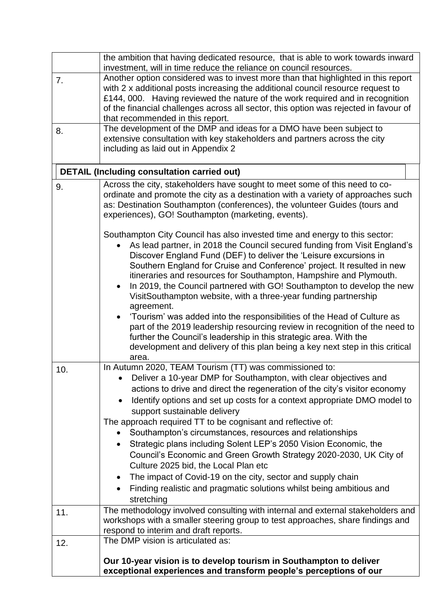|     | the ambition that having dedicated resource, that is able to work towards inward<br>investment, will in time reduce the reliance on council resources.                                                                                                                                                                                                                                                                                                                                                                                                             |  |  |  |
|-----|--------------------------------------------------------------------------------------------------------------------------------------------------------------------------------------------------------------------------------------------------------------------------------------------------------------------------------------------------------------------------------------------------------------------------------------------------------------------------------------------------------------------------------------------------------------------|--|--|--|
| 7.  | Another option considered was to invest more than that highlighted in this report<br>with 2 x additional posts increasing the additional council resource request to<br>£144, 000. Having reviewed the nature of the work required and in recognition<br>of the financial challenges across all sector, this option was rejected in favour of<br>that recommended in this report.                                                                                                                                                                                  |  |  |  |
| 8.  | The development of the DMP and ideas for a DMO have been subject to<br>extensive consultation with key stakeholders and partners across the city<br>including as laid out in Appendix 2                                                                                                                                                                                                                                                                                                                                                                            |  |  |  |
|     | <b>DETAIL (Including consultation carried out)</b>                                                                                                                                                                                                                                                                                                                                                                                                                                                                                                                 |  |  |  |
| 9.  | Across the city, stakeholders have sought to meet some of this need to co-<br>ordinate and promote the city as a destination with a variety of approaches such<br>as: Destination Southampton (conferences), the volunteer Guides (tours and<br>experiences), GO! Southampton (marketing, events).                                                                                                                                                                                                                                                                 |  |  |  |
|     | Southampton City Council has also invested time and energy to this sector:<br>As lead partner, in 2018 the Council secured funding from Visit England's<br>$\bullet$<br>Discover England Fund (DEF) to deliver the 'Leisure excursions in<br>Southern England for Cruise and Conference' project. It resulted in new<br>itineraries and resources for Southampton, Hampshire and Plymouth.<br>In 2019, the Council partnered with GO! Southampton to develop the new<br>$\bullet$<br>VisitSouthampton website, with a three-year funding partnership<br>agreement. |  |  |  |
|     | 'Tourism' was added into the responsibilities of the Head of Culture as<br>part of the 2019 leadership resourcing review in recognition of the need to<br>further the Council's leadership in this strategic area. With the<br>development and delivery of this plan being a key next step in this critical<br>area.                                                                                                                                                                                                                                               |  |  |  |
| 10. | In Autumn 2020, TEAM Tourism (TT) was commissioned to:<br>Deliver a 10-year DMP for Southampton, with clear objectives and<br>actions to drive and direct the regeneration of the city's visitor economy<br>Identify options and set up costs for a context appropriate DMO model to<br>support sustainable delivery                                                                                                                                                                                                                                               |  |  |  |
|     | The approach required TT to be cognisant and reflective of:<br>Southampton's circumstances, resources and relationships<br>٠<br>Strategic plans including Solent LEP's 2050 Vision Economic, the<br>$\bullet$<br>Council's Economic and Green Growth Strategy 2020-2030, UK City of<br>Culture 2025 bid, the Local Plan etc<br>The impact of Covid-19 on the city, sector and supply chain<br>$\bullet$                                                                                                                                                            |  |  |  |
|     | Finding realistic and pragmatic solutions whilst being ambitious and<br>$\bullet$<br>stretching                                                                                                                                                                                                                                                                                                                                                                                                                                                                    |  |  |  |
| 11. | The methodology involved consulting with internal and external stakeholders and<br>workshops with a smaller steering group to test approaches, share findings and<br>respond to interim and draft reports.                                                                                                                                                                                                                                                                                                                                                         |  |  |  |
| 12. | The DMP vision is articulated as:                                                                                                                                                                                                                                                                                                                                                                                                                                                                                                                                  |  |  |  |
|     | Our 10-year vision is to develop tourism in Southampton to deliver<br>exceptional experiences and transform people's perceptions of our                                                                                                                                                                                                                                                                                                                                                                                                                            |  |  |  |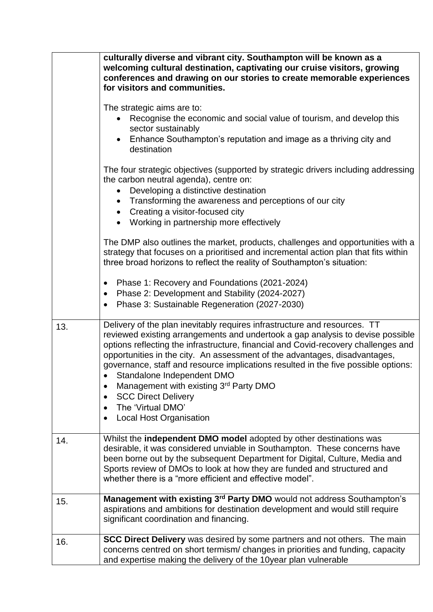|     | culturally diverse and vibrant city. Southampton will be known as a<br>welcoming cultural destination, captivating our cruise visitors, growing<br>conferences and drawing on our stories to create memorable experiences<br>for visitors and communities.                                                                                                                                                                                                                                                                                                                                   |
|-----|----------------------------------------------------------------------------------------------------------------------------------------------------------------------------------------------------------------------------------------------------------------------------------------------------------------------------------------------------------------------------------------------------------------------------------------------------------------------------------------------------------------------------------------------------------------------------------------------|
|     | The strategic aims are to:<br>Recognise the economic and social value of tourism, and develop this<br>sector sustainably<br>Enhance Southampton's reputation and image as a thriving city and<br>destination                                                                                                                                                                                                                                                                                                                                                                                 |
|     | The four strategic objectives (supported by strategic drivers including addressing<br>the carbon neutral agenda), centre on:<br>Developing a distinctive destination<br>Transforming the awareness and perceptions of our city<br>$\bullet$<br>Creating a visitor-focused city<br>Working in partnership more effectively                                                                                                                                                                                                                                                                    |
|     | The DMP also outlines the market, products, challenges and opportunities with a<br>strategy that focuses on a prioritised and incremental action plan that fits within<br>three broad horizons to reflect the reality of Southampton's situation:                                                                                                                                                                                                                                                                                                                                            |
|     | Phase 1: Recovery and Foundations (2021-2024)<br>$\bullet$<br>Phase 2: Development and Stability (2024-2027)<br>$\bullet$<br>Phase 3: Sustainable Regeneration (2027-2030)                                                                                                                                                                                                                                                                                                                                                                                                                   |
| 13. | Delivery of the plan inevitably requires infrastructure and resources. TT<br>reviewed existing arrangements and undertook a gap analysis to devise possible<br>options reflecting the infrastructure, financial and Covid-recovery challenges and<br>opportunities in the city. An assessment of the advantages, disadvantages,<br>governance, staff and resource implications resulted in the five possible options:<br>Standalone Independent DMO<br>Management with existing 3rd Party DMO<br>٠<br><b>SCC Direct Delivery</b><br>٠<br>The 'Virtual DMO'<br><b>Local Host Organisation</b> |
| 14. | Whilst the independent DMO model adopted by other destinations was<br>desirable, it was considered unviable in Southampton. These concerns have<br>been borne out by the subsequent Department for Digital, Culture, Media and<br>Sports review of DMOs to look at how they are funded and structured and<br>whether there is a "more efficient and effective model".                                                                                                                                                                                                                        |
| 15. | Management with existing 3 <sup>rd</sup> Party DMO would not address Southampton's<br>aspirations and ambitions for destination development and would still require<br>significant coordination and financing.                                                                                                                                                                                                                                                                                                                                                                               |
| 16. | <b>SCC Direct Delivery</b> was desired by some partners and not others. The main<br>concerns centred on short termism/changes in priorities and funding, capacity<br>and expertise making the delivery of the 10year plan vulnerable                                                                                                                                                                                                                                                                                                                                                         |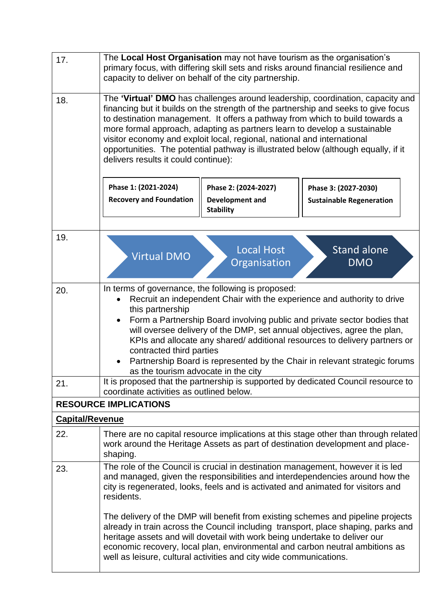| 17.                    | The Local Host Organisation may not have tourism as the organisation's<br>primary focus, with differing skill sets and risks around financial resilience and<br>capacity to deliver on behalf of the city partnership.                                                                                                                                                                                                                                                                                                                                |  |  |  |  |
|------------------------|-------------------------------------------------------------------------------------------------------------------------------------------------------------------------------------------------------------------------------------------------------------------------------------------------------------------------------------------------------------------------------------------------------------------------------------------------------------------------------------------------------------------------------------------------------|--|--|--|--|
| 18.                    | The 'Virtual' DMO has challenges around leadership, coordination, capacity and<br>financing but it builds on the strength of the partnership and seeks to give focus<br>to destination management. It offers a pathway from which to build towards a<br>more formal approach, adapting as partners learn to develop a sustainable<br>visitor economy and exploit local, regional, national and international<br>opportunities. The potential pathway is illustrated below (although equally, if it<br>delivers results it could continue):            |  |  |  |  |
|                        | Phase 1: (2021-2024)<br>Phase 2: (2024-2027)<br>Phase 3: (2027-2030)<br><b>Recovery and Foundation</b><br><b>Development and</b><br><b>Sustainable Regeneration</b><br><b>Stability</b>                                                                                                                                                                                                                                                                                                                                                               |  |  |  |  |
| 19.                    | <b>Local Host</b><br><b>Stand alone</b><br><b>Virtual DMO</b><br>Organisation<br><b>DMO</b>                                                                                                                                                                                                                                                                                                                                                                                                                                                           |  |  |  |  |
| 20.                    | In terms of governance, the following is proposed:<br>Recruit an independent Chair with the experience and authority to drive<br>this partnership<br>Form a Partnership Board involving public and private sector bodies that<br>$\bullet$<br>will oversee delivery of the DMP, set annual objectives, agree the plan,<br>KPIs and allocate any shared/ additional resources to delivery partners or<br>contracted third parties<br>Partnership Board is represented by the Chair in relevant strategic forums<br>as the tourism advocate in the city |  |  |  |  |
| 21.                    | It is proposed that the partnership is supported by dedicated Council resource to<br>coordinate activities as outlined below.<br><b>RESOURCE IMPLICATIONS</b>                                                                                                                                                                                                                                                                                                                                                                                         |  |  |  |  |
| <b>Capital/Revenue</b> |                                                                                                                                                                                                                                                                                                                                                                                                                                                                                                                                                       |  |  |  |  |
| 22.                    | There are no capital resource implications at this stage other than through related<br>work around the Heritage Assets as part of destination development and place-<br>shaping.                                                                                                                                                                                                                                                                                                                                                                      |  |  |  |  |
| 23.                    | The role of the Council is crucial in destination management, however it is led<br>and managed, given the responsibilities and interdependencies around how the<br>city is regenerated, looks, feels and is activated and animated for visitors and<br>residents.                                                                                                                                                                                                                                                                                     |  |  |  |  |
|                        | The delivery of the DMP will benefit from existing schemes and pipeline projects<br>already in train across the Council including transport, place shaping, parks and<br>heritage assets and will dovetail with work being undertake to deliver our<br>economic recovery, local plan, environmental and carbon neutral ambitions as<br>well as leisure, cultural activities and city wide communications.                                                                                                                                             |  |  |  |  |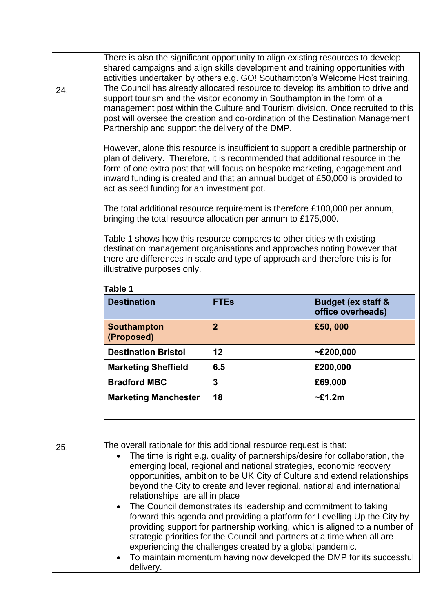|     | There is also the significant opportunity to align existing resources to develop<br>shared campaigns and align skills development and training opportunities with<br>activities undertaken by others e.g. GO! Southampton's Welcome Host training.                                                                                                                                                                                                                                                                                                                                                                                                                                                                                                                                                                                                                                              |  |  |  |  |  |
|-----|-------------------------------------------------------------------------------------------------------------------------------------------------------------------------------------------------------------------------------------------------------------------------------------------------------------------------------------------------------------------------------------------------------------------------------------------------------------------------------------------------------------------------------------------------------------------------------------------------------------------------------------------------------------------------------------------------------------------------------------------------------------------------------------------------------------------------------------------------------------------------------------------------|--|--|--|--|--|
| 24. | The Council has already allocated resource to develop its ambition to drive and<br>support tourism and the visitor economy in Southampton in the form of a<br>management post within the Culture and Tourism division. Once recruited to this<br>post will oversee the creation and co-ordination of the Destination Management<br>Partnership and support the delivery of the DMP.                                                                                                                                                                                                                                                                                                                                                                                                                                                                                                             |  |  |  |  |  |
|     | However, alone this resource is insufficient to support a credible partnership or<br>plan of delivery. Therefore, it is recommended that additional resource in the<br>form of one extra post that will focus on bespoke marketing, engagement and<br>inward funding is created and that an annual budget of £50,000 is provided to<br>act as seed funding for an investment pot.                                                                                                                                                                                                                                                                                                                                                                                                                                                                                                               |  |  |  |  |  |
|     | The total additional resource requirement is therefore £100,000 per annum,<br>bringing the total resource allocation per annum to £175,000.                                                                                                                                                                                                                                                                                                                                                                                                                                                                                                                                                                                                                                                                                                                                                     |  |  |  |  |  |
|     | Table 1 shows how this resource compares to other cities with existing<br>destination management organisations and approaches noting however that<br>there are differences in scale and type of approach and therefore this is for<br>illustrative purposes only.                                                                                                                                                                                                                                                                                                                                                                                                                                                                                                                                                                                                                               |  |  |  |  |  |
|     | Table 1                                                                                                                                                                                                                                                                                                                                                                                                                                                                                                                                                                                                                                                                                                                                                                                                                                                                                         |  |  |  |  |  |
|     | <b>Destination</b><br><b>Budget (ex staff &amp;</b><br><b>FTEs</b><br>office overheads)<br>$\overline{2}$<br><b>Southampton</b><br>£50,000<br>(Proposed)                                                                                                                                                                                                                                                                                                                                                                                                                                                                                                                                                                                                                                                                                                                                        |  |  |  |  |  |
|     |                                                                                                                                                                                                                                                                                                                                                                                                                                                                                                                                                                                                                                                                                                                                                                                                                                                                                                 |  |  |  |  |  |
|     | 12<br>~200,000<br><b>Destination Bristol</b><br>£200,000<br>6.5<br><b>Marketing Sheffield</b>                                                                                                                                                                                                                                                                                                                                                                                                                                                                                                                                                                                                                                                                                                                                                                                                   |  |  |  |  |  |
|     |                                                                                                                                                                                                                                                                                                                                                                                                                                                                                                                                                                                                                                                                                                                                                                                                                                                                                                 |  |  |  |  |  |
|     | <b>Bradford MBC</b><br>£69,000<br>3<br>$\sim$ £1.2m<br><b>Marketing Manchester</b><br>18                                                                                                                                                                                                                                                                                                                                                                                                                                                                                                                                                                                                                                                                                                                                                                                                        |  |  |  |  |  |
|     |                                                                                                                                                                                                                                                                                                                                                                                                                                                                                                                                                                                                                                                                                                                                                                                                                                                                                                 |  |  |  |  |  |
|     |                                                                                                                                                                                                                                                                                                                                                                                                                                                                                                                                                                                                                                                                                                                                                                                                                                                                                                 |  |  |  |  |  |
| 25. | The overall rationale for this additional resource request is that:<br>The time is right e.g. quality of partnerships/desire for collaboration, the<br>emerging local, regional and national strategies, economic recovery<br>opportunities, ambition to be UK City of Culture and extend relationships<br>beyond the City to create and lever regional, national and international<br>relationships are all in place<br>The Council demonstrates its leadership and commitment to taking<br>$\bullet$<br>forward this agenda and providing a platform for Levelling Up the City by<br>providing support for partnership working, which is aligned to a number of<br>strategic priorities for the Council and partners at a time when all are<br>experiencing the challenges created by a global pandemic.<br>To maintain momentum having now developed the DMP for its successful<br>delivery. |  |  |  |  |  |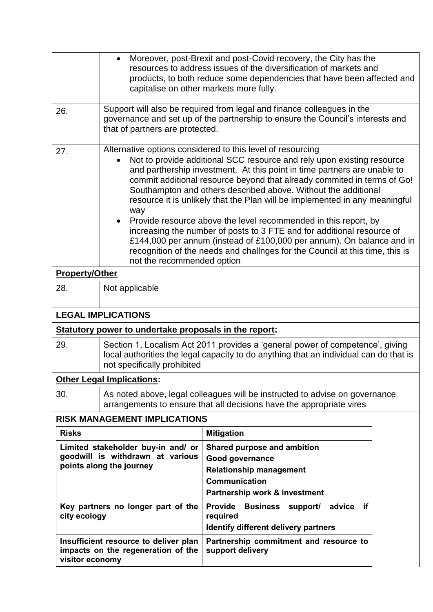|                                                                                                    | Moreover, post-Brexit and post-Covid recovery, the City has the<br>resources to address issues of the diversification of markets and<br>products, to both reduce some dependencies that have been affected and<br>capitalise on other markets more fully.                                                                                                                                                                                                                                                                                                                                                                                                                                                                                                                               |                                                                                                                                    |  |  |
|----------------------------------------------------------------------------------------------------|-----------------------------------------------------------------------------------------------------------------------------------------------------------------------------------------------------------------------------------------------------------------------------------------------------------------------------------------------------------------------------------------------------------------------------------------------------------------------------------------------------------------------------------------------------------------------------------------------------------------------------------------------------------------------------------------------------------------------------------------------------------------------------------------|------------------------------------------------------------------------------------------------------------------------------------|--|--|
| 26.                                                                                                | Support will also be required from legal and finance colleagues in the<br>governance and set up of the partnership to ensure the Council's interests and<br>that of partners are protected.                                                                                                                                                                                                                                                                                                                                                                                                                                                                                                                                                                                             |                                                                                                                                    |  |  |
| 27.                                                                                                | Alternative options considered to this level of resourcing<br>Not to provide additional SCC resource and rely upon existing resource<br>and parthership investment. At this point in time partners are unable to<br>commit additional resource beyond that already commited in terms of Go!<br>Southampton and others described above. Without the additional<br>resource it is unlikely that the Plan will be implemented in any meaningful<br>way<br>Provide resource above the level recommended in this report, by<br>increasing the number of posts to 3 FTE and for additional resource of<br>£144,000 per annum (instead of £100,000 per annum). On balance and in<br>recognition of the needs and challnges for the Council at this time, this is<br>not the recommended option |                                                                                                                                    |  |  |
| <b>Property/Other</b>                                                                              |                                                                                                                                                                                                                                                                                                                                                                                                                                                                                                                                                                                                                                                                                                                                                                                         |                                                                                                                                    |  |  |
| 28.                                                                                                | Not applicable                                                                                                                                                                                                                                                                                                                                                                                                                                                                                                                                                                                                                                                                                                                                                                          |                                                                                                                                    |  |  |
| <b>LEGAL IMPLICATIONS</b>                                                                          |                                                                                                                                                                                                                                                                                                                                                                                                                                                                                                                                                                                                                                                                                                                                                                                         |                                                                                                                                    |  |  |
| Statutory power to undertake proposals in the report:                                              |                                                                                                                                                                                                                                                                                                                                                                                                                                                                                                                                                                                                                                                                                                                                                                                         |                                                                                                                                    |  |  |
| 29.                                                                                                | Section 1, Localism Act 2011 provides a 'general power of competence', giving<br>local authorities the legal capacity to do anything that an individual can do that is<br>not specifically prohibited                                                                                                                                                                                                                                                                                                                                                                                                                                                                                                                                                                                   |                                                                                                                                    |  |  |
| <b>Other Legal Implications:</b>                                                                   |                                                                                                                                                                                                                                                                                                                                                                                                                                                                                                                                                                                                                                                                                                                                                                                         |                                                                                                                                    |  |  |
| 30.                                                                                                | As noted above, legal colleagues will be instructed to advise on governance<br>arrangements to ensure that all decisions have the appropriate vires                                                                                                                                                                                                                                                                                                                                                                                                                                                                                                                                                                                                                                     |                                                                                                                                    |  |  |
| <b>RISK MANAGEMENT IMPLICATIONS</b>                                                                |                                                                                                                                                                                                                                                                                                                                                                                                                                                                                                                                                                                                                                                                                                                                                                                         |                                                                                                                                    |  |  |
| <b>Risks</b>                                                                                       |                                                                                                                                                                                                                                                                                                                                                                                                                                                                                                                                                                                                                                                                                                                                                                                         | <b>Mitigation</b>                                                                                                                  |  |  |
| Limited stakeholder buy-in and/ or<br>goodwill is withdrawn at various<br>points along the journey |                                                                                                                                                                                                                                                                                                                                                                                                                                                                                                                                                                                                                                                                                                                                                                                         | Shared purpose and ambition<br>Good governance<br><b>Relationship management</b><br>Communication<br>Partnership work & investment |  |  |
| Key partners no longer part of the<br>city ecology                                                 |                                                                                                                                                                                                                                                                                                                                                                                                                                                                                                                                                                                                                                                                                                                                                                                         | <b>Provide</b><br>if<br><b>Business support/</b><br>advice<br>required<br>Identify different delivery partners                     |  |  |
| Insufficient resource to deliver plan<br>impacts on the regeneration of the<br>visitor economy     |                                                                                                                                                                                                                                                                                                                                                                                                                                                                                                                                                                                                                                                                                                                                                                                         | Partnership commitment and resource to<br>support delivery                                                                         |  |  |